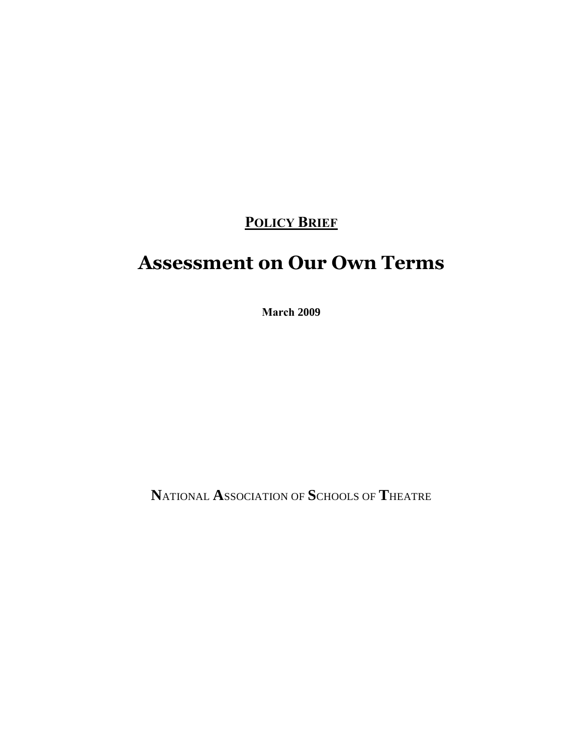# **POLICY BRIEF**

# **Assessment on Our Own Terms**

**March 2009**

**N**ATIONAL **A**SSOCIATION OF **S**CHOOLS OF **T**HEATRE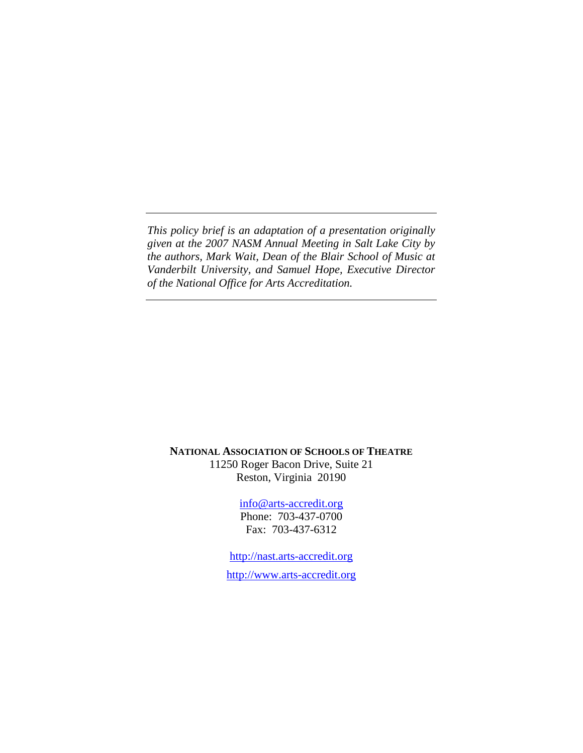*This policy brief is an adaptation of a presentation originally given at the 2007 NASM Annual Meeting in Salt Lake City by the authors, Mark Wait, Dean of the Blair School of Music at Vanderbilt University, and Samuel Hope, Executive Director of the National Office for Arts Accreditation.* 

## **NATIONAL ASSOCIATION OF SCHOOLS OF THEATRE** 11250 Roger Bacon Drive, Suite 21 Reston, Virginia 20190

## [info@arts-accredit.org](mailto:info@arts-accredit.org)

Phone: 703-437-0700 Fax: 703-437-6312

[http://nast.arts-accredit.org](http://nast.arts-accredit.org/)

[http://www.arts-accredit.org](http://www.arts-accredit.org/)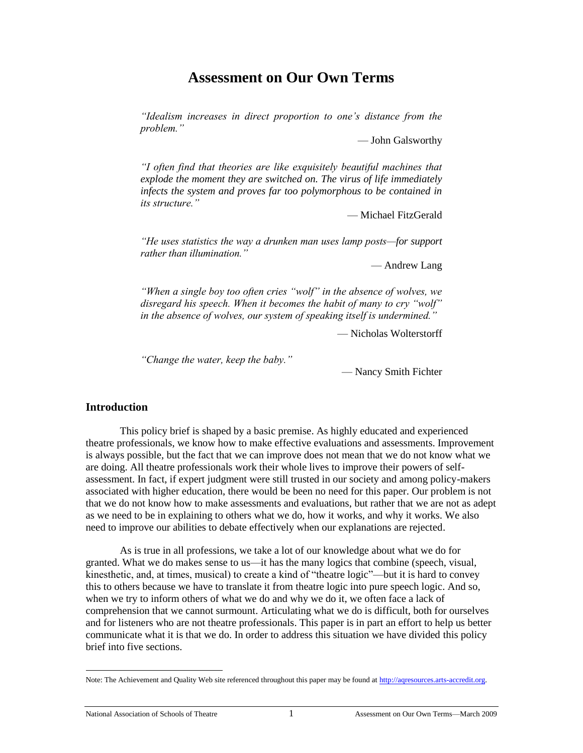# **Assessment on Our Own Terms**

*"Idealism increases in direct proportion to one's distance from the problem."*

— John Galsworthy

*"I often find that theories are like exquisitely beautiful machines that explode the moment they are switched on. The virus of life immediately infects the system and proves far too polymorphous to be contained in its structure."*

— Michael FitzGerald

*"He uses statistics the way a drunken man uses lamp posts—for support rather than illumination."*

— Andrew Lang

*"When a single boy too often cries "wolf" in the absence of wolves, we disregard his speech. When it becomes the habit of many to cry "wolf" in the absence of wolves, our system of speaking itself is undermined."*

— Nicholas Wolterstorff

*"Change the water, keep the baby."*

— Nancy Smith Fichter

## **Introduction**

This policy brief is shaped by a basic premise. As highly educated and experienced theatre professionals, we know how to make effective evaluations and assessments. Improvement is always possible, but the fact that we can improve does not mean that we do not know what we are doing. All theatre professionals work their whole lives to improve their powers of selfassessment. In fact, if expert judgment were still trusted in our society and among policy-makers associated with higher education, there would be been no need for this paper. Our problem is not that we do not know how to make assessments and evaluations, but rather that we are not as adept as we need to be in explaining to others what we do, how it works, and why it works. We also need to improve our abilities to debate effectively when our explanations are rejected.

As is true in all professions, we take a lot of our knowledge about what we do for granted. What we do makes sense to us—it has the many logics that combine (speech, visual, kinesthetic, and, at times, musical) to create a kind of "theatre logic"—but it is hard to convey this to others because we have to translate it from theatre logic into pure speech logic. And so, when we try to inform others of what we do and why we do it, we often face a lack of comprehension that we cannot surmount. Articulating what we do is difficult, both for ourselves and for listeners who are not theatre professionals. This paper is in part an effort to help us better communicate what it is that we do. In order to address this situation we have divided this policy brief into five sections.

 $\overline{a}$ Note: The Achievement and Quality Web site referenced throughout this paper may be found at http://aqresources.arts-accredit.org.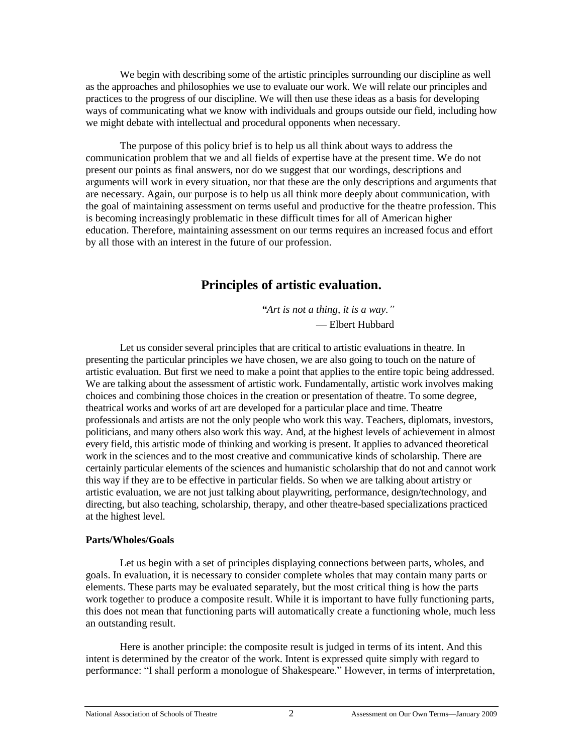We begin with describing some of the artistic principles surrounding our discipline as well as the approaches and philosophies we use to evaluate our work. We will relate our principles and practices to the progress of our discipline. We will then use these ideas as a basis for developing ways of communicating what we know with individuals and groups outside our field, including how we might debate with intellectual and procedural opponents when necessary.

The purpose of this policy brief is to help us all think about ways to address the communication problem that we and all fields of expertise have at the present time. We do not present our points as final answers, nor do we suggest that our wordings, descriptions and arguments will work in every situation, nor that these are the only descriptions and arguments that are necessary. Again, our purpose is to help us all think more deeply about communication, with the goal of maintaining assessment on terms useful and productive for the theatre profession. This is becoming increasingly problematic in these difficult times for all of American higher education. Therefore, maintaining assessment on our terms requires an increased focus and effort by all those with an interest in the future of our profession.

## **Principles of artistic evaluation.**

*"Art is not a thing, it is a way."* — Elbert Hubbard

Let us consider several principles that are critical to artistic evaluations in theatre. In presenting the particular principles we have chosen, we are also going to touch on the nature of artistic evaluation. But first we need to make a point that applies to the entire topic being addressed. We are talking about the assessment of artistic work. Fundamentally, artistic work involves making choices and combining those choices in the creation or presentation of theatre. To some degree, theatrical works and works of art are developed for a particular place and time. Theatre professionals and artists are not the only people who work this way. Teachers, diplomats, investors, politicians, and many others also work this way. And, at the highest levels of achievement in almost every field, this artistic mode of thinking and working is present. It applies to advanced theoretical work in the sciences and to the most creative and communicative kinds of scholarship. There are certainly particular elements of the sciences and humanistic scholarship that do not and cannot work this way if they are to be effective in particular fields. So when we are talking about artistry or artistic evaluation, we are not just talking about playwriting, performance, design/technology, and directing, but also teaching, scholarship, therapy, and other theatre-based specializations practiced at the highest level.

## **Parts/Wholes/Goals**

Let us begin with a set of principles displaying connections between parts, wholes, and goals. In evaluation, it is necessary to consider complete wholes that may contain many parts or elements. These parts may be evaluated separately, but the most critical thing is how the parts work together to produce a composite result. While it is important to have fully functioning parts, this does not mean that functioning parts will automatically create a functioning whole, much less an outstanding result.

Here is another principle: the composite result is judged in terms of its intent. And this intent is determined by the creator of the work. Intent is expressed quite simply with regard to performance: "I shall perform a monologue of Shakespeare." However, in terms of interpretation,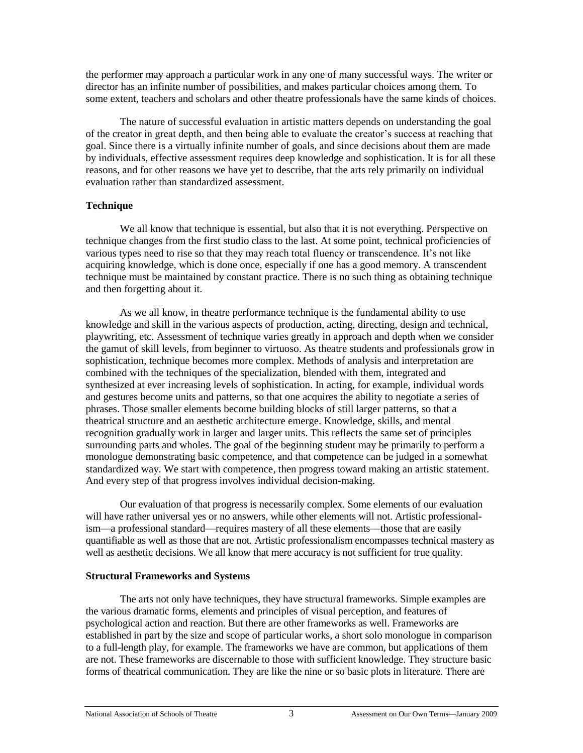the performer may approach a particular work in any one of many successful ways. The writer or director has an infinite number of possibilities, and makes particular choices among them. To some extent, teachers and scholars and other theatre professionals have the same kinds of choices.

The nature of successful evaluation in artistic matters depends on understanding the goal of the creator in great depth, and then being able to evaluate the creator's success at reaching that goal. Since there is a virtually infinite number of goals, and since decisions about them are made by individuals, effective assessment requires deep knowledge and sophistication. It is for all these reasons, and for other reasons we have yet to describe, that the arts rely primarily on individual evaluation rather than standardized assessment.

## **Technique**

We all know that technique is essential, but also that it is not everything. Perspective on technique changes from the first studio class to the last. At some point, technical proficiencies of various types need to rise so that they may reach total fluency or transcendence. It's not like acquiring knowledge, which is done once, especially if one has a good memory. A transcendent technique must be maintained by constant practice. There is no such thing as obtaining technique and then forgetting about it.

As we all know, in theatre performance technique is the fundamental ability to use knowledge and skill in the various aspects of production, acting, directing, design and technical, playwriting, etc. Assessment of technique varies greatly in approach and depth when we consider the gamut of skill levels, from beginner to virtuoso. As theatre students and professionals grow in sophistication, technique becomes more complex. Methods of analysis and interpretation are combined with the techniques of the specialization, blended with them, integrated and synthesized at ever increasing levels of sophistication. In acting, for example, individual words and gestures become units and patterns, so that one acquires the ability to negotiate a series of phrases. Those smaller elements become building blocks of still larger patterns, so that a theatrical structure and an aesthetic architecture emerge. Knowledge, skills, and mental recognition gradually work in larger and larger units. This reflects the same set of principles surrounding parts and wholes. The goal of the beginning student may be primarily to perform a monologue demonstrating basic competence, and that competence can be judged in a somewhat standardized way. We start with competence, then progress toward making an artistic statement. And every step of that progress involves individual decision-making.

Our evaluation of that progress is necessarily complex. Some elements of our evaluation will have rather universal yes or no answers, while other elements will not. Artistic professionalism—a professional standard—requires mastery of all these elements—those that are easily quantifiable as well as those that are not. Artistic professionalism encompasses technical mastery as well as aesthetic decisions. We all know that mere accuracy is not sufficient for true quality.

## **Structural Frameworks and Systems**

The arts not only have techniques, they have structural frameworks. Simple examples are the various dramatic forms, elements and principles of visual perception, and features of psychological action and reaction. But there are other frameworks as well. Frameworks are established in part by the size and scope of particular works, a short solo monologue in comparison to a full-length play, for example. The frameworks we have are common, but applications of them are not. These frameworks are discernable to those with sufficient knowledge. They structure basic forms of theatrical communication. They are like the nine or so basic plots in literature. There are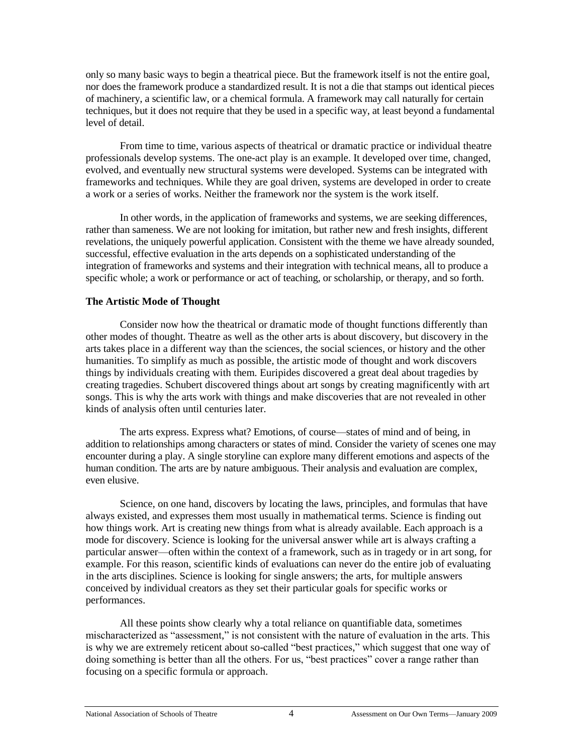only so many basic ways to begin a theatrical piece. But the framework itself is not the entire goal, nor does the framework produce a standardized result. It is not a die that stamps out identical pieces of machinery, a scientific law, or a chemical formula. A framework may call naturally for certain techniques, but it does not require that they be used in a specific way, at least beyond a fundamental level of detail.

From time to time, various aspects of theatrical or dramatic practice or individual theatre professionals develop systems. The one-act play is an example. It developed over time, changed, evolved, and eventually new structural systems were developed. Systems can be integrated with frameworks and techniques. While they are goal driven, systems are developed in order to create a work or a series of works. Neither the framework nor the system is the work itself.

In other words, in the application of frameworks and systems, we are seeking differences, rather than sameness. We are not looking for imitation, but rather new and fresh insights, different revelations, the uniquely powerful application. Consistent with the theme we have already sounded, successful, effective evaluation in the arts depends on a sophisticated understanding of the integration of frameworks and systems and their integration with technical means, all to produce a specific whole; a work or performance or act of teaching, or scholarship, or therapy, and so forth.

#### **The Artistic Mode of Thought**

Consider now how the theatrical or dramatic mode of thought functions differently than other modes of thought. Theatre as well as the other arts is about discovery, but discovery in the arts takes place in a different way than the sciences, the social sciences, or history and the other humanities. To simplify as much as possible, the artistic mode of thought and work discovers things by individuals creating with them. Euripides discovered a great deal about tragedies by creating tragedies. Schubert discovered things about art songs by creating magnificently with art songs. This is why the arts work with things and make discoveries that are not revealed in other kinds of analysis often until centuries later.

The arts express. Express what? Emotions, of course—states of mind and of being, in addition to relationships among characters or states of mind. Consider the variety of scenes one may encounter during a play. A single storyline can explore many different emotions and aspects of the human condition. The arts are by nature ambiguous. Their analysis and evaluation are complex, even elusive.

Science, on one hand, discovers by locating the laws, principles, and formulas that have always existed, and expresses them most usually in mathematical terms. Science is finding out how things work. Art is creating new things from what is already available. Each approach is a mode for discovery. Science is looking for the universal answer while art is always crafting a particular answer—often within the context of a framework, such as in tragedy or in art song, for example. For this reason, scientific kinds of evaluations can never do the entire job of evaluating in the arts disciplines. Science is looking for single answers; the arts, for multiple answers conceived by individual creators as they set their particular goals for specific works or performances.

All these points show clearly why a total reliance on quantifiable data, sometimes mischaracterized as "assessment," is not consistent with the nature of evaluation in the arts. This is why we are extremely reticent about so-called "best practices," which suggest that one way of doing something is better than all the others. For us, "best practices" cover a range rather than focusing on a specific formula or approach.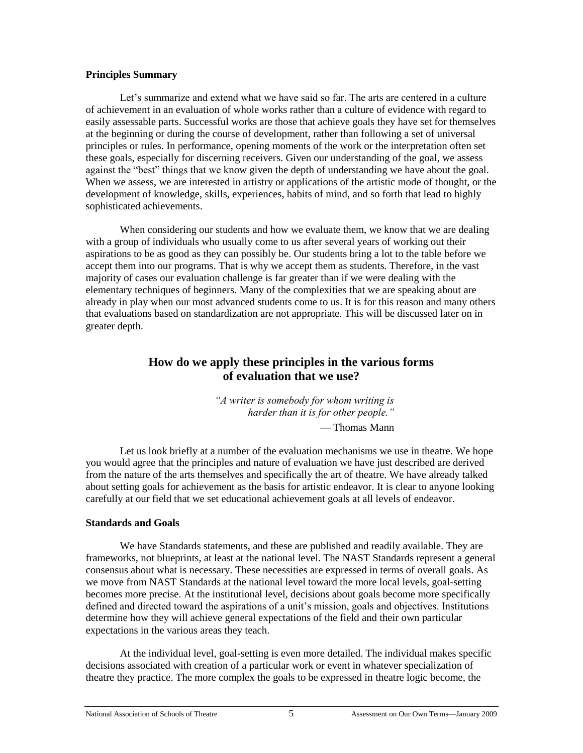#### **Principles Summary**

Let's summarize and extend what we have said so far. The arts are centered in a culture of achievement in an evaluation of whole works rather than a culture of evidence with regard to easily assessable parts. Successful works are those that achieve goals they have set for themselves at the beginning or during the course of development, rather than following a set of universal principles or rules. In performance, opening moments of the work or the interpretation often set these goals, especially for discerning receivers. Given our understanding of the goal, we assess against the "best" things that we know given the depth of understanding we have about the goal. When we assess, we are interested in artistry or applications of the artistic mode of thought, or the development of knowledge, skills, experiences, habits of mind, and so forth that lead to highly sophisticated achievements.

When considering our students and how we evaluate them, we know that we are dealing with a group of individuals who usually come to us after several years of working out their aspirations to be as good as they can possibly be. Our students bring a lot to the table before we accept them into our programs. That is why we accept them as students. Therefore, in the vast majority of cases our evaluation challenge is far greater than if we were dealing with the elementary techniques of beginners. Many of the complexities that we are speaking about are already in play when our most advanced students come to us. It is for this reason and many others that evaluations based on standardization are not appropriate. This will be discussed later on in greater depth.

## **How do we apply these principles in the various forms of evaluation that we use?**

*"A writer is somebody for whom writing is harder than it is for other people."* — Thomas Mann

Let us look briefly at a number of the evaluation mechanisms we use in theatre. We hope you would agree that the principles and nature of evaluation we have just described are derived from the nature of the arts themselves and specifically the art of theatre. We have already talked about setting goals for achievement as the basis for artistic endeavor. It is clear to anyone looking carefully at our field that we set educational achievement goals at all levels of endeavor.

## **Standards and Goals**

We have Standards statements, and these are published and readily available. They are frameworks, not blueprints, at least at the national level. The NAST Standards represent a general consensus about what is necessary. These necessities are expressed in terms of overall goals. As we move from NAST Standards at the national level toward the more local levels, goal-setting becomes more precise. At the institutional level, decisions about goals become more specifically defined and directed toward the aspirations of a unit's mission, goals and objectives. Institutions determine how they will achieve general expectations of the field and their own particular expectations in the various areas they teach.

At the individual level, goal-setting is even more detailed. The individual makes specific decisions associated with creation of a particular work or event in whatever specialization of theatre they practice. The more complex the goals to be expressed in theatre logic become, the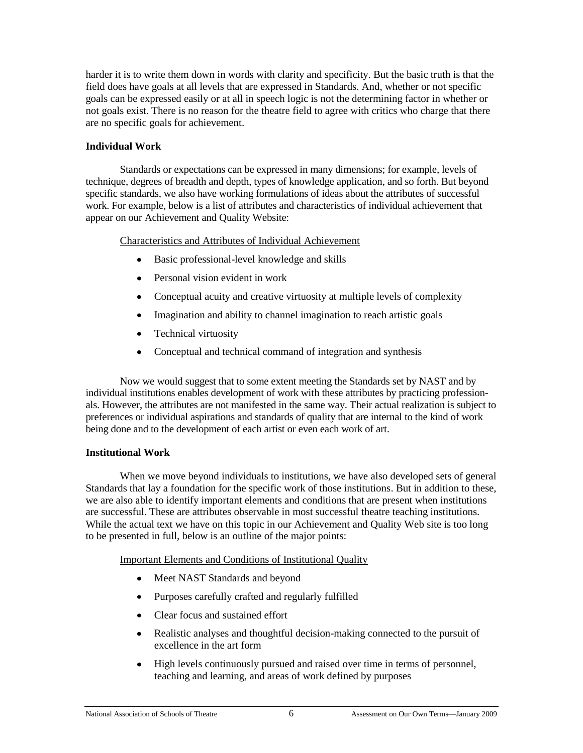harder it is to write them down in words with clarity and specificity. But the basic truth is that the field does have goals at all levels that are expressed in Standards. And, whether or not specific goals can be expressed easily or at all in speech logic is not the determining factor in whether or not goals exist. There is no reason for the theatre field to agree with critics who charge that there are no specific goals for achievement.

## **Individual Work**

Standards or expectations can be expressed in many dimensions; for example, levels of technique, degrees of breadth and depth, types of knowledge application, and so forth. But beyond specific standards, we also have working formulations of ideas about the attributes of successful work. For example, below is a list of attributes and characteristics of individual achievement that appear on our Achievement and Quality Website:

#### Characteristics and Attributes of Individual Achievement

- Basic professional-level knowledge and skills  $\bullet$
- $\bullet$ Personal vision evident in work
- $\bullet$ Conceptual acuity and creative virtuosity at multiple levels of complexity
- $\bullet$ Imagination and ability to channel imagination to reach artistic goals
- Technical virtuosity
- Conceptual and technical command of integration and synthesis

Now we would suggest that to some extent meeting the Standards set by NAST and by individual institutions enables development of work with these attributes by practicing professionals. However, the attributes are not manifested in the same way. Their actual realization is subject to preferences or individual aspirations and standards of quality that are internal to the kind of work being done and to the development of each artist or even each work of art.

## **Institutional Work**

When we move beyond individuals to institutions, we have also developed sets of general Standards that lay a foundation for the specific work of those institutions. But in addition to these, we are also able to identify important elements and conditions that are present when institutions are successful. These are attributes observable in most successful theatre teaching institutions. While the actual text we have on this topic in our Achievement and Quality Web site is too long to be presented in full, below is an outline of the major points:

Important Elements and Conditions of Institutional Quality

- $\bullet$ Meet NAST Standards and beyond
- Purposes carefully crafted and regularly fulfilled
- Clear focus and sustained effort
- Realistic analyses and thoughtful decision-making connected to the pursuit of excellence in the art form
- $\bullet$ High levels continuously pursued and raised over time in terms of personnel, teaching and learning, and areas of work defined by purposes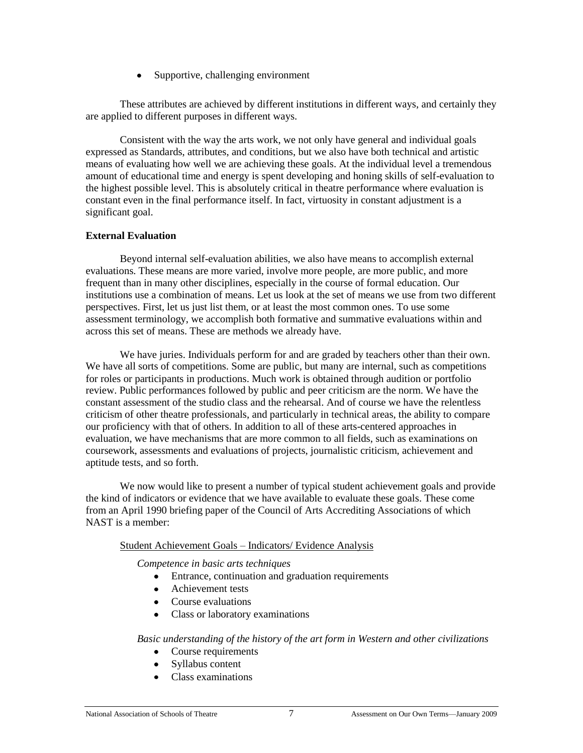• Supportive, challenging environment

These attributes are achieved by different institutions in different ways, and certainly they are applied to different purposes in different ways.

Consistent with the way the arts work, we not only have general and individual goals expressed as Standards, attributes, and conditions, but we also have both technical and artistic means of evaluating how well we are achieving these goals. At the individual level a tremendous amount of educational time and energy is spent developing and honing skills of self-evaluation to the highest possible level. This is absolutely critical in theatre performance where evaluation is constant even in the final performance itself. In fact, virtuosity in constant adjustment is a significant goal.

#### **External Evaluation**

Beyond internal self-evaluation abilities, we also have means to accomplish external evaluations. These means are more varied, involve more people, are more public, and more frequent than in many other disciplines, especially in the course of formal education. Our institutions use a combination of means. Let us look at the set of means we use from two different perspectives. First, let us just list them, or at least the most common ones. To use some assessment terminology, we accomplish both formative and summative evaluations within and across this set of means. These are methods we already have.

We have juries. Individuals perform for and are graded by teachers other than their own. We have all sorts of competitions. Some are public, but many are internal, such as competitions for roles or participants in productions. Much work is obtained through audition or portfolio review. Public performances followed by public and peer criticism are the norm. We have the constant assessment of the studio class and the rehearsal. And of course we have the relentless criticism of other theatre professionals, and particularly in technical areas, the ability to compare our proficiency with that of others. In addition to all of these arts-centered approaches in evaluation, we have mechanisms that are more common to all fields, such as examinations on coursework, assessments and evaluations of projects, journalistic criticism, achievement and aptitude tests, and so forth.

We now would like to present a number of typical student achievement goals and provide the kind of indicators or evidence that we have available to evaluate these goals. These come from an April 1990 briefing paper of the Council of Arts Accrediting Associations of which NAST is a member:

#### Student Achievement Goals – Indicators/ Evidence Analysis

*Competence in basic arts techniques*

- Entrance, continuation and graduation requirements
- $\bullet$ Achievement tests
- Course evaluations
- Class or laboratory examinations  $\bullet$

*Basic understanding of the history of the art form in Western and other civilizations*

- Course requirements
- Syllabus content
- Class examinations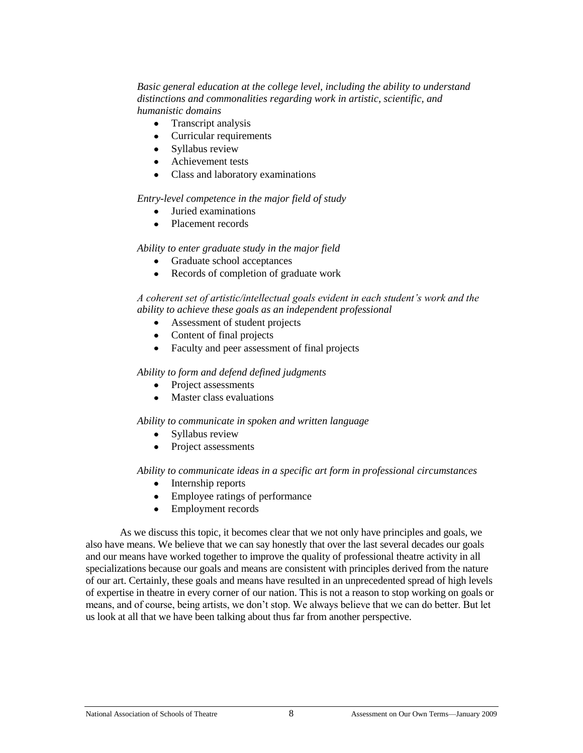*Basic general education at the college level, including the ability to understand distinctions and commonalities regarding work in artistic, scientific, and humanistic domains*

- $\bullet$ Transcript analysis
- Curricular requirements  $\bullet$
- Syllabus review
- Achievement tests
- Class and laboratory examinations

*Entry-level competence in the major field of study*

- Juried examinations
- Placement records

#### *Ability to enter graduate study in the major field*

- Graduate school acceptances
- $\bullet$ Records of completion of graduate work

*A coherent set of artistic/intellectual goals evident in each student's work and the ability to achieve these goals as an independent professional*

- Assessment of student projects  $\bullet$
- Content of final projects
- Faculty and peer assessment of final projects  $\bullet$

#### *Ability to form and defend defined judgments*

- Project assessments
- Master class evaluations

#### *Ability to communicate in spoken and written language*

- Syllabus review
- Project assessments  $\bullet$

#### *Ability to communicate ideas in a specific art form in professional circumstances*

- Internship reports
- Employee ratings of performance
- Employment records  $\bullet$

As we discuss this topic, it becomes clear that we not only have principles and goals, we also have means. We believe that we can say honestly that over the last several decades our goals and our means have worked together to improve the quality of professional theatre activity in all specializations because our goals and means are consistent with principles derived from the nature of our art. Certainly, these goals and means have resulted in an unprecedented spread of high levels of expertise in theatre in every corner of our nation. This is not a reason to stop working on goals or means, and of course, being artists, we don't stop. We always believe that we can do better. But let us look at all that we have been talking about thus far from another perspective.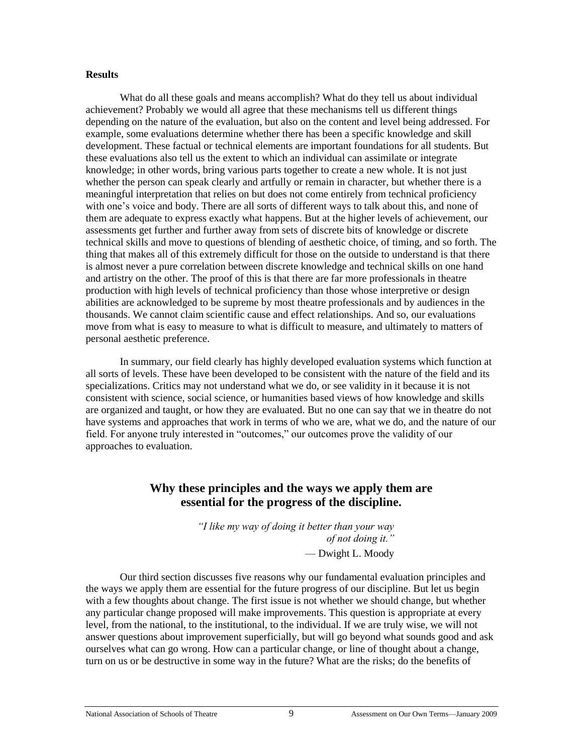#### **Results**

What do all these goals and means accomplish? What do they tell us about individual achievement? Probably we would all agree that these mechanisms tell us different things depending on the nature of the evaluation, but also on the content and level being addressed. For example, some evaluations determine whether there has been a specific knowledge and skill development. These factual or technical elements are important foundations for all students. But these evaluations also tell us the extent to which an individual can assimilate or integrate knowledge; in other words, bring various parts together to create a new whole. It is not just whether the person can speak clearly and artfully or remain in character, but whether there is a meaningful interpretation that relies on but does not come entirely from technical proficiency with one's voice and body. There are all sorts of different ways to talk about this, and none of them are adequate to express exactly what happens. But at the higher levels of achievement, our assessments get further and further away from sets of discrete bits of knowledge or discrete technical skills and move to questions of blending of aesthetic choice, of timing, and so forth. The thing that makes all of this extremely difficult for those on the outside to understand is that there is almost never a pure correlation between discrete knowledge and technical skills on one hand and artistry on the other. The proof of this is that there are far more professionals in theatre production with high levels of technical proficiency than those whose interpretive or design abilities are acknowledged to be supreme by most theatre professionals and by audiences in the thousands. We cannot claim scientific cause and effect relationships. And so, our evaluations move from what is easy to measure to what is difficult to measure, and ultimately to matters of personal aesthetic preference.

In summary, our field clearly has highly developed evaluation systems which function at all sorts of levels. These have been developed to be consistent with the nature of the field and its specializations. Critics may not understand what we do, or see validity in it because it is not consistent with science, social science, or humanities based views of how knowledge and skills are organized and taught, or how they are evaluated. But no one can say that we in theatre do not have systems and approaches that work in terms of who we are, what we do, and the nature of our field. For anyone truly interested in "outcomes," our outcomes prove the validity of our approaches to evaluation.

## **Why these principles and the ways we apply them are essential for the progress of the discipline.**

*"I like my way of doing it better than your way of not doing it."* — Dwight L. Moody

Our third section discusses five reasons why our fundamental evaluation principles and the ways we apply them are essential for the future progress of our discipline. But let us begin with a few thoughts about change. The first issue is not whether we should change, but whether any particular change proposed will make improvements. This question is appropriate at every level, from the national, to the institutional, to the individual. If we are truly wise, we will not answer questions about improvement superficially, but will go beyond what sounds good and ask ourselves what can go wrong. How can a particular change, or line of thought about a change, turn on us or be destructive in some way in the future? What are the risks; do the benefits of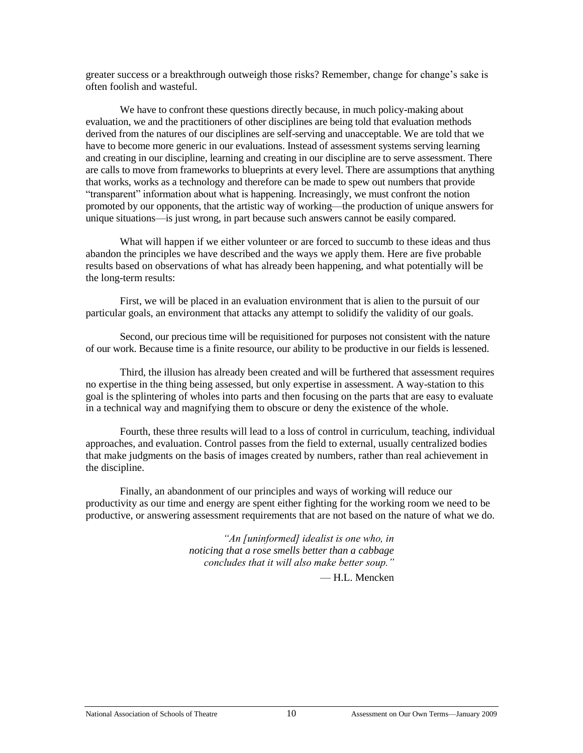greater success or a breakthrough outweigh those risks? Remember, change for change's sake is often foolish and wasteful.

We have to confront these questions directly because, in much policy-making about evaluation, we and the practitioners of other disciplines are being told that evaluation methods derived from the natures of our disciplines are self-serving and unacceptable. We are told that we have to become more generic in our evaluations. Instead of assessment systems serving learning and creating in our discipline, learning and creating in our discipline are to serve assessment. There are calls to move from frameworks to blueprints at every level. There are assumptions that anything that works, works as a technology and therefore can be made to spew out numbers that provide "transparent" information about what is happening. Increasingly, we must confront the notion promoted by our opponents, that the artistic way of working—the production of unique answers for unique situations—is just wrong, in part because such answers cannot be easily compared.

What will happen if we either volunteer or are forced to succumb to these ideas and thus abandon the principles we have described and the ways we apply them. Here are five probable results based on observations of what has already been happening, and what potentially will be the long-term results:

First, we will be placed in an evaluation environment that is alien to the pursuit of our particular goals, an environment that attacks any attempt to solidify the validity of our goals.

Second, our precious time will be requisitioned for purposes not consistent with the nature of our work. Because time is a finite resource, our ability to be productive in our fields is lessened.

Third, the illusion has already been created and will be furthered that assessment requires no expertise in the thing being assessed, but only expertise in assessment. A way-station to this goal is the splintering of wholes into parts and then focusing on the parts that are easy to evaluate in a technical way and magnifying them to obscure or deny the existence of the whole.

Fourth, these three results will lead to a loss of control in curriculum, teaching, individual approaches, and evaluation. Control passes from the field to external, usually centralized bodies that make judgments on the basis of images created by numbers, rather than real achievement in the discipline.

Finally, an abandonment of our principles and ways of working will reduce our productivity as our time and energy are spent either fighting for the working room we need to be productive, or answering assessment requirements that are not based on the nature of what we do.

> *"An [uninformed] idealist is one who, in noticing that a rose smells better than a cabbage concludes that it will also make better soup."*

— H.L. Mencken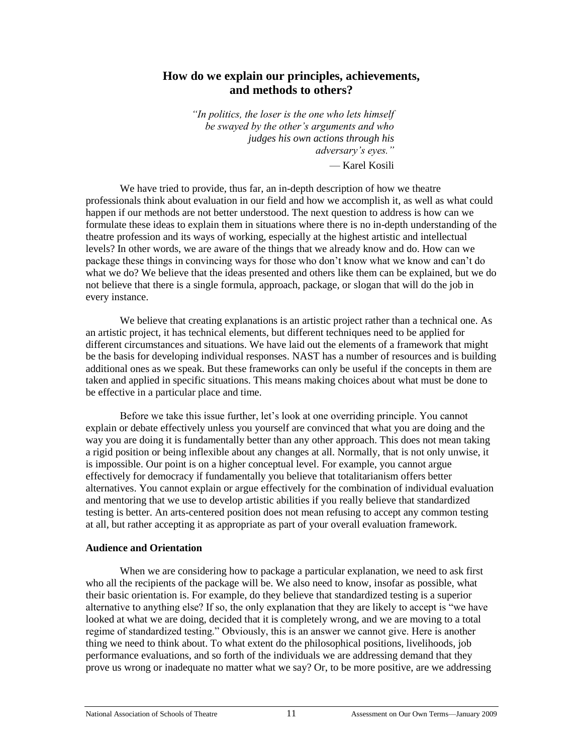## **How do we explain our principles, achievements, and methods to others?**

*"In politics, the loser is the one who lets himself be swayed by the other's arguments and who judges his own actions through his adversary's eyes."*

— Karel Kosili

We have tried to provide, thus far, an in-depth description of how we theatre professionals think about evaluation in our field and how we accomplish it, as well as what could happen if our methods are not better understood. The next question to address is how can we formulate these ideas to explain them in situations where there is no in-depth understanding of the theatre profession and its ways of working, especially at the highest artistic and intellectual levels? In other words, we are aware of the things that we already know and do. How can we package these things in convincing ways for those who don't know what we know and can't do what we do? We believe that the ideas presented and others like them can be explained, but we do not believe that there is a single formula, approach, package, or slogan that will do the job in every instance.

We believe that creating explanations is an artistic project rather than a technical one. As an artistic project, it has technical elements, but different techniques need to be applied for different circumstances and situations. We have laid out the elements of a framework that might be the basis for developing individual responses. NAST has a number of resources and is building additional ones as we speak. But these frameworks can only be useful if the concepts in them are taken and applied in specific situations. This means making choices about what must be done to be effective in a particular place and time.

Before we take this issue further, let's look at one overriding principle. You cannot explain or debate effectively unless you yourself are convinced that what you are doing and the way you are doing it is fundamentally better than any other approach. This does not mean taking a rigid position or being inflexible about any changes at all. Normally, that is not only unwise, it is impossible. Our point is on a higher conceptual level. For example, you cannot argue effectively for democracy if fundamentally you believe that totalitarianism offers better alternatives. You cannot explain or argue effectively for the combination of individual evaluation and mentoring that we use to develop artistic abilities if you really believe that standardized testing is better. An arts-centered position does not mean refusing to accept any common testing at all, but rather accepting it as appropriate as part of your overall evaluation framework.

#### **Audience and Orientation**

When we are considering how to package a particular explanation, we need to ask first who all the recipients of the package will be. We also need to know, insofar as possible, what their basic orientation is. For example, do they believe that standardized testing is a superior alternative to anything else? If so, the only explanation that they are likely to accept is "we have looked at what we are doing, decided that it is completely wrong, and we are moving to a total regime of standardized testing." Obviously, this is an answer we cannot give. Here is another thing we need to think about. To what extent do the philosophical positions, livelihoods, job performance evaluations, and so forth of the individuals we are addressing demand that they prove us wrong or inadequate no matter what we say? Or, to be more positive, are we addressing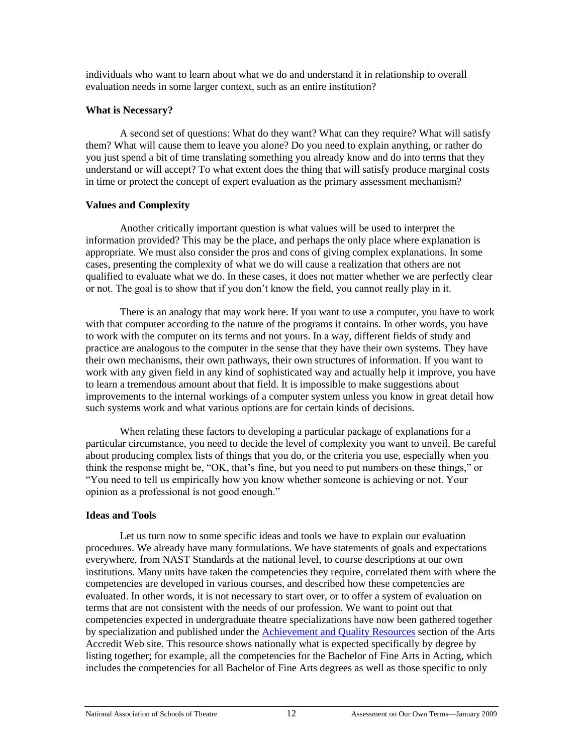individuals who want to learn about what we do and understand it in relationship to overall evaluation needs in some larger context, such as an entire institution?

## **What is Necessary?**

A second set of questions: What do they want? What can they require? What will satisfy them? What will cause them to leave you alone? Do you need to explain anything, or rather do you just spend a bit of time translating something you already know and do into terms that they understand or will accept? To what extent does the thing that will satisfy produce marginal costs in time or protect the concept of expert evaluation as the primary assessment mechanism?

#### **Values and Complexity**

Another critically important question is what values will be used to interpret the information provided? This may be the place, and perhaps the only place where explanation is appropriate. We must also consider the pros and cons of giving complex explanations. In some cases, presenting the complexity of what we do will cause a realization that others are not qualified to evaluate what we do. In these cases, it does not matter whether we are perfectly clear or not. The goal is to show that if you don't know the field, you cannot really play in it.

There is an analogy that may work here. If you want to use a computer, you have to work with that computer according to the nature of the programs it contains. In other words, you have to work with the computer on its terms and not yours. In a way, different fields of study and practice are analogous to the computer in the sense that they have their own systems. They have their own mechanisms, their own pathways, their own structures of information. If you want to work with any given field in any kind of sophisticated way and actually help it improve, you have to learn a tremendous amount about that field. It is impossible to make suggestions about improvements to the internal workings of a computer system unless you know in great detail how such systems work and what various options are for certain kinds of decisions.

When relating these factors to developing a particular package of explanations for a particular circumstance, you need to decide the level of complexity you want to unveil. Be careful about producing complex lists of things that you do, or the criteria you use, especially when you think the response might be, "OK, that's fine, but you need to put numbers on these things," or "You need to tell us empirically how you know whether someone is achieving or not. Your opinion as a professional is not good enough."

## **Ideas and Tools**

Let us turn now to some specific ideas and tools we have to explain our evaluation procedures. We already have many formulations. We have statements of goals and expectations everywhere, from NAST Standards at the national level, to course descriptions at our own institutions. Many units have taken the competencies they require, correlated them with where the competencies are developed in various courses, and described how these competencies are evaluated. In other words, it is not necessary to start over, or to offer a system of evaluation on terms that are not consistent with the needs of our profession. We want to point out that competencies expected in undergraduate theatre specializations have now been gathered together by specialization and published under the [Achievement and Quality Resources](http://aqresources.arts-accredit.org/) section of the Arts Accredit Web site. This resource shows nationally what is expected specifically by degree by listing together; for example, all the competencies for the Bachelor of Fine Arts in Acting, which includes the competencies for all Bachelor of Fine Arts degrees as well as those specific to only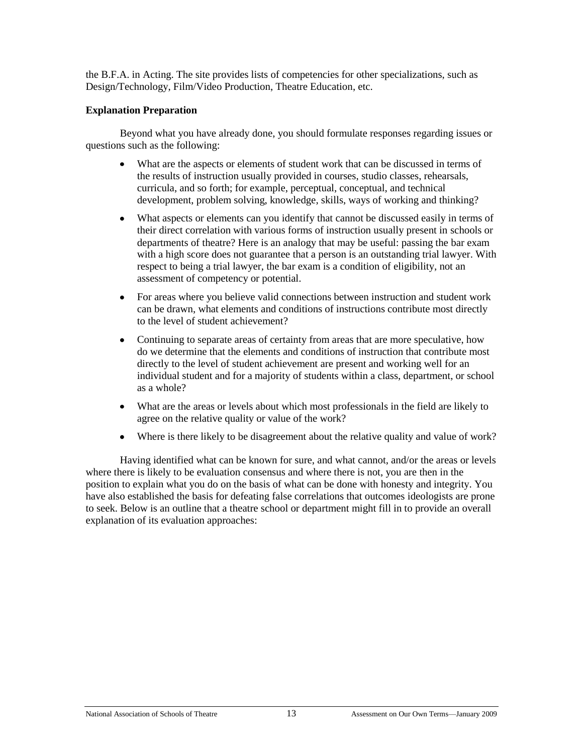the B.F.A. in Acting. The site provides lists of competencies for other specializations, such as Design/Technology, Film/Video Production, Theatre Education, etc.

#### **Explanation Preparation**

Beyond what you have already done, you should formulate responses regarding issues or questions such as the following:

- What are the aspects or elements of student work that can be discussed in terms of  $\bullet$ the results of instruction usually provided in courses, studio classes, rehearsals, curricula, and so forth; for example, perceptual, conceptual, and technical development, problem solving, knowledge, skills, ways of working and thinking?
- What aspects or elements can you identify that cannot be discussed easily in terms of  $\bullet$ their direct correlation with various forms of instruction usually present in schools or departments of theatre? Here is an analogy that may be useful: passing the bar exam with a high score does not guarantee that a person is an outstanding trial lawyer. With respect to being a trial lawyer, the bar exam is a condition of eligibility, not an assessment of competency or potential.
- $\bullet$ For areas where you believe valid connections between instruction and student work can be drawn, what elements and conditions of instructions contribute most directly to the level of student achievement?
- Continuing to separate areas of certainty from areas that are more speculative, how  $\bullet$ do we determine that the elements and conditions of instruction that contribute most directly to the level of student achievement are present and working well for an individual student and for a majority of students within a class, department, or school as a whole?
- What are the areas or levels about which most professionals in the field are likely to  $\bullet$ agree on the relative quality or value of the work?
- Where is there likely to be disagreement about the relative quality and value of work?

Having identified what can be known for sure, and what cannot, and/or the areas or levels where there is likely to be evaluation consensus and where there is not, you are then in the position to explain what you do on the basis of what can be done with honesty and integrity. You have also established the basis for defeating false correlations that outcomes ideologists are prone to seek. Below is an outline that a theatre school or department might fill in to provide an overall explanation of its evaluation approaches: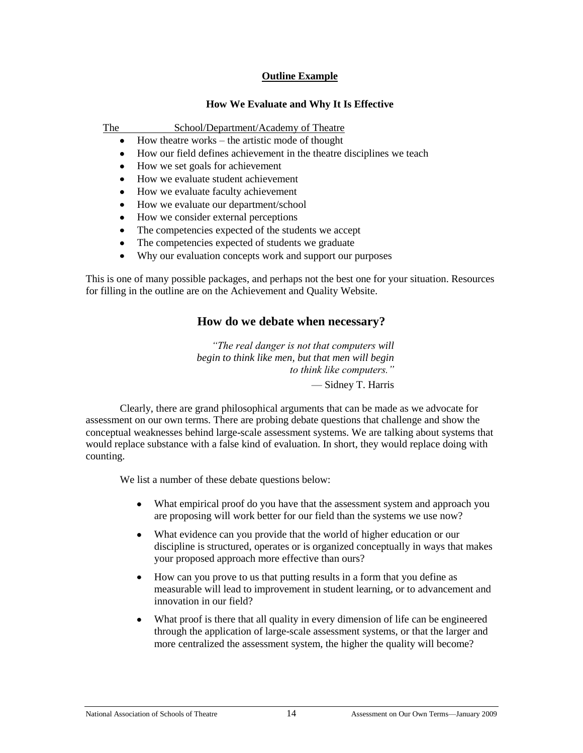## **Outline Example**

#### **How We Evaluate and Why It Is Effective**

The School/Department/Academy of Theatre

- How theatre works the artistic mode of thought  $\bullet$
- $\bullet$ How our field defines achievement in the theatre disciplines we teach
- $\bullet$ How we set goals for achievement
- How we evaluate student achievement  $\bullet$
- How we evaluate faculty achievement  $\bullet$
- How we evaluate our department/school  $\bullet$
- How we consider external perceptions  $\bullet$
- The competencies expected of the students we accept  $\bullet$
- The competencies expected of students we graduate  $\bullet$
- $\bullet$ Why our evaluation concepts work and support our purposes

This is one of many possible packages, and perhaps not the best one for your situation. Resources for filling in the outline are on the Achievement and Quality Website.

## **How do we debate when necessary?**

*"The real danger is not that computers will begin to think like men, but that men will begin to think like computers."* — Sidney T. Harris

Clearly, there are grand philosophical arguments that can be made as we advocate for assessment on our own terms. There are probing debate questions that challenge and show the conceptual weaknesses behind large-scale assessment systems. We are talking about systems that would replace substance with a false kind of evaluation. In short, they would replace doing with counting.

We list a number of these debate questions below:

- What empirical proof do you have that the assessment system and approach you  $\bullet$ are proposing will work better for our field than the systems we use now?
- What evidence can you provide that the world of higher education or our discipline is structured, operates or is organized conceptually in ways that makes your proposed approach more effective than ours?
- How can you prove to us that putting results in a form that you define as  $\bullet$ measurable will lead to improvement in student learning, or to advancement and innovation in our field?
- What proof is there that all quality in every dimension of life can be engineered through the application of large-scale assessment systems, or that the larger and more centralized the assessment system, the higher the quality will become?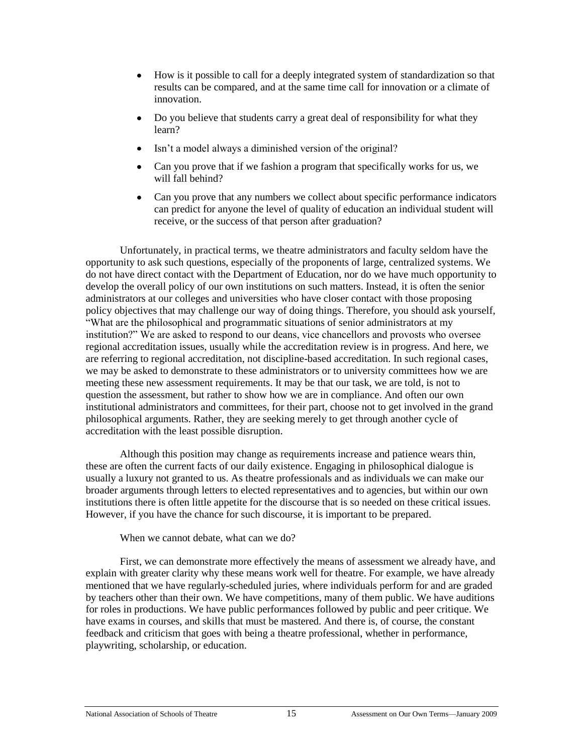- $\bullet$ How is it possible to call for a deeply integrated system of standardization so that results can be compared, and at the same time call for innovation or a climate of innovation.
- Do you believe that students carry a great deal of responsibility for what they  $\bullet$ learn?
- Isn't a model always a diminished version of the original?
- Can you prove that if we fashion a program that specifically works for us, we will fall behind?
- Can you prove that any numbers we collect about specific performance indicators can predict for anyone the level of quality of education an individual student will receive, or the success of that person after graduation?

Unfortunately, in practical terms, we theatre administrators and faculty seldom have the opportunity to ask such questions, especially of the proponents of large, centralized systems. We do not have direct contact with the Department of Education, nor do we have much opportunity to develop the overall policy of our own institutions on such matters. Instead, it is often the senior administrators at our colleges and universities who have closer contact with those proposing policy objectives that may challenge our way of doing things. Therefore, you should ask yourself, "What are the philosophical and programmatic situations of senior administrators at my institution?" We are asked to respond to our deans, vice chancellors and provosts who oversee regional accreditation issues, usually while the accreditation review is in progress. And here, we are referring to regional accreditation, not discipline-based accreditation. In such regional cases, we may be asked to demonstrate to these administrators or to university committees how we are meeting these new assessment requirements. It may be that our task, we are told, is not to question the assessment, but rather to show how we are in compliance. And often our own institutional administrators and committees, for their part, choose not to get involved in the grand philosophical arguments. Rather, they are seeking merely to get through another cycle of accreditation with the least possible disruption.

Although this position may change as requirements increase and patience wears thin, these are often the current facts of our daily existence. Engaging in philosophical dialogue is usually a luxury not granted to us. As theatre professionals and as individuals we can make our broader arguments through letters to elected representatives and to agencies, but within our own institutions there is often little appetite for the discourse that is so needed on these critical issues. However, if you have the chance for such discourse, it is important to be prepared.

#### When we cannot debate, what can we do?

First, we can demonstrate more effectively the means of assessment we already have, and explain with greater clarity why these means work well for theatre. For example, we have already mentioned that we have regularly-scheduled juries, where individuals perform for and are graded by teachers other than their own. We have competitions, many of them public. We have auditions for roles in productions. We have public performances followed by public and peer critique. We have exams in courses, and skills that must be mastered. And there is, of course, the constant feedback and criticism that goes with being a theatre professional, whether in performance, playwriting, scholarship, or education.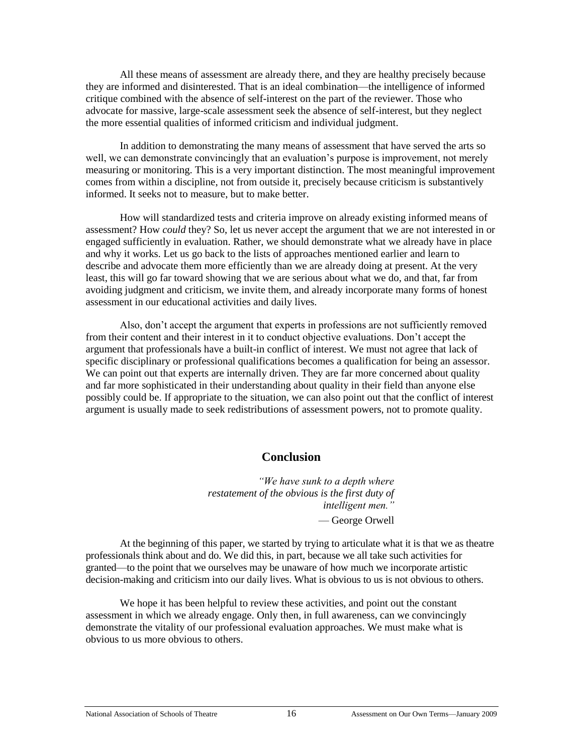All these means of assessment are already there, and they are healthy precisely because they are informed and disinterested. That is an ideal combination—the intelligence of informed critique combined with the absence of self-interest on the part of the reviewer. Those who advocate for massive, large-scale assessment seek the absence of self-interest, but they neglect the more essential qualities of informed criticism and individual judgment.

In addition to demonstrating the many means of assessment that have served the arts so well, we can demonstrate convincingly that an evaluation's purpose is improvement, not merely measuring or monitoring. This is a very important distinction. The most meaningful improvement comes from within a discipline, not from outside it, precisely because criticism is substantively informed. It seeks not to measure, but to make better.

How will standardized tests and criteria improve on already existing informed means of assessment? How *could* they? So, let us never accept the argument that we are not interested in or engaged sufficiently in evaluation. Rather, we should demonstrate what we already have in place and why it works. Let us go back to the lists of approaches mentioned earlier and learn to describe and advocate them more efficiently than we are already doing at present. At the very least, this will go far toward showing that we are serious about what we do, and that, far from avoiding judgment and criticism, we invite them, and already incorporate many forms of honest assessment in our educational activities and daily lives.

Also, don't accept the argument that experts in professions are not sufficiently removed from their content and their interest in it to conduct objective evaluations. Don't accept the argument that professionals have a built-in conflict of interest. We must not agree that lack of specific disciplinary or professional qualifications becomes a qualification for being an assessor. We can point out that experts are internally driven. They are far more concerned about quality and far more sophisticated in their understanding about quality in their field than anyone else possibly could be. If appropriate to the situation, we can also point out that the conflict of interest argument is usually made to seek redistributions of assessment powers, not to promote quality.

## **Conclusion**

*"We have sunk to a depth where restatement of the obvious is the first duty of intelligent men."* — George Orwell

At the beginning of this paper, we started by trying to articulate what it is that we as theatre professionals think about and do. We did this, in part, because we all take such activities for granted—to the point that we ourselves may be unaware of how much we incorporate artistic decision-making and criticism into our daily lives. What is obvious to us is not obvious to others.

We hope it has been helpful to review these activities, and point out the constant assessment in which we already engage. Only then, in full awareness, can we convincingly demonstrate the vitality of our professional evaluation approaches. We must make what is obvious to us more obvious to others.